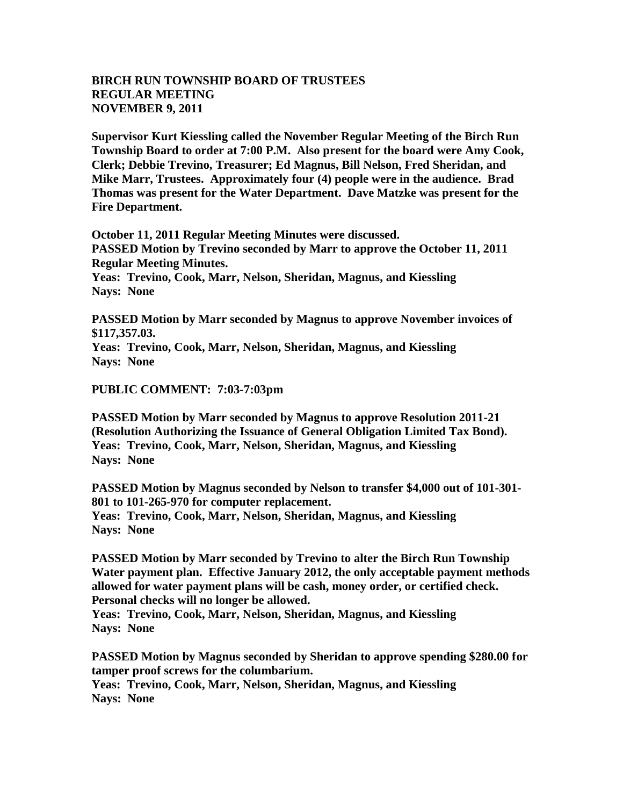## **BIRCH RUN TOWNSHIP BOARD OF TRUSTEES REGULAR MEETING NOVEMBER 9, 2011**

**Supervisor Kurt Kiessling called the November Regular Meeting of the Birch Run Township Board to order at 7:00 P.M. Also present for the board were Amy Cook, Clerk; Debbie Trevino, Treasurer; Ed Magnus, Bill Nelson, Fred Sheridan, and Mike Marr, Trustees. Approximately four (4) people were in the audience. Brad Thomas was present for the Water Department. Dave Matzke was present for the Fire Department.** 

**October 11, 2011 Regular Meeting Minutes were discussed. PASSED Motion by Trevino seconded by Marr to approve the October 11, 2011 Regular Meeting Minutes. Yeas: Trevino, Cook, Marr, Nelson, Sheridan, Magnus, and Kiessling Nays: None** 

**PASSED Motion by Marr seconded by Magnus to approve November invoices of \$117,357.03. Yeas: Trevino, Cook, Marr, Nelson, Sheridan, Magnus, and Kiessling Nays: None** 

## **PUBLIC COMMENT: 7:03-7:03pm**

**PASSED Motion by Marr seconded by Magnus to approve Resolution 2011-21 (Resolution Authorizing the Issuance of General Obligation Limited Tax Bond). Yeas: Trevino, Cook, Marr, Nelson, Sheridan, Magnus, and Kiessling Nays: None** 

**PASSED Motion by Magnus seconded by Nelson to transfer \$4,000 out of 101-301- 801 to 101-265-970 for computer replacement. Yeas: Trevino, Cook, Marr, Nelson, Sheridan, Magnus, and Kiessling Nays: None** 

**PASSED Motion by Marr seconded by Trevino to alter the Birch Run Township Water payment plan. Effective January 2012, the only acceptable payment methods allowed for water payment plans will be cash, money order, or certified check. Personal checks will no longer be allowed.** 

**Yeas: Trevino, Cook, Marr, Nelson, Sheridan, Magnus, and Kiessling Nays: None** 

**PASSED Motion by Magnus seconded by Sheridan to approve spending \$280.00 for tamper proof screws for the columbarium. Yeas: Trevino, Cook, Marr, Nelson, Sheridan, Magnus, and Kiessling Nays: None**